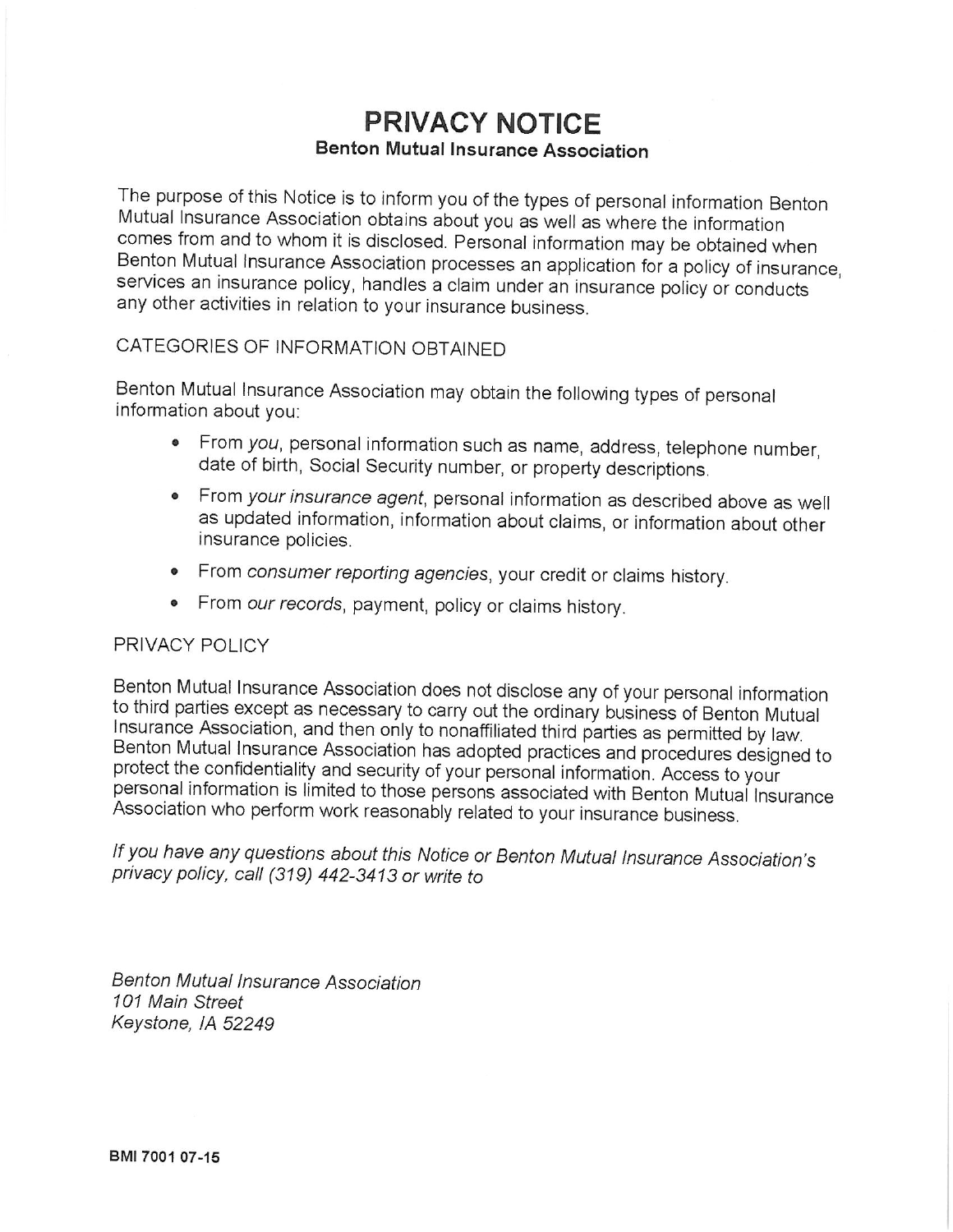## **PRIVACY NOTICE Benton Mutual Insurance Association**

The purpose of this Notice is to inform you of the types of personal information Benton Mutual Insurance Association obtains about you as well as where the information comes from and to whom it is disclosed. Personal information may be obtained when Benton Mutual Insurance Association processes an application for a policy of insurance, services an insurance policy, handles a claim under an insurance policy or conducts any other activities in relation to your insurance business.

## CATEGORIES OF INFORMATION OBTAINED

Benton Mutual Insurance Association may obtain the following types of personal information about you:

- From you, personal information such as name, address, telephone number, date of birth, Social Security number, or property descriptions.
- From your insurance agent, personal information as described above as well as updated information, information about claims, or information about other insurance policies.
- From consumer reporting agencies, your credit or claims history.
- From our records, payment, policy or claims history.

## PRIVACY POLICY

Benton Mutual Insurance Association does not disclose any of your personal information to third parties except as necessary to carry out the ordinary business of Benton Mutual Insurance Association, and then only to nonaffiliated third parties as permitted by law. Benton Mutual Insurance Association has adopted practices and procedures designed to protect the confidentiality and security of your personal information. Access to your personal information is limited to those persons associated with Benton Mutual Insurance Association who perform work reasonably related to your insurance business.

If you have any questions about this Notice or Benton Mutual Insurance Association's privacy policy, call (319) 442-3413 or write to

**Benton Mutual Insurance Association** 101 Main Street Keystone, IA 52249